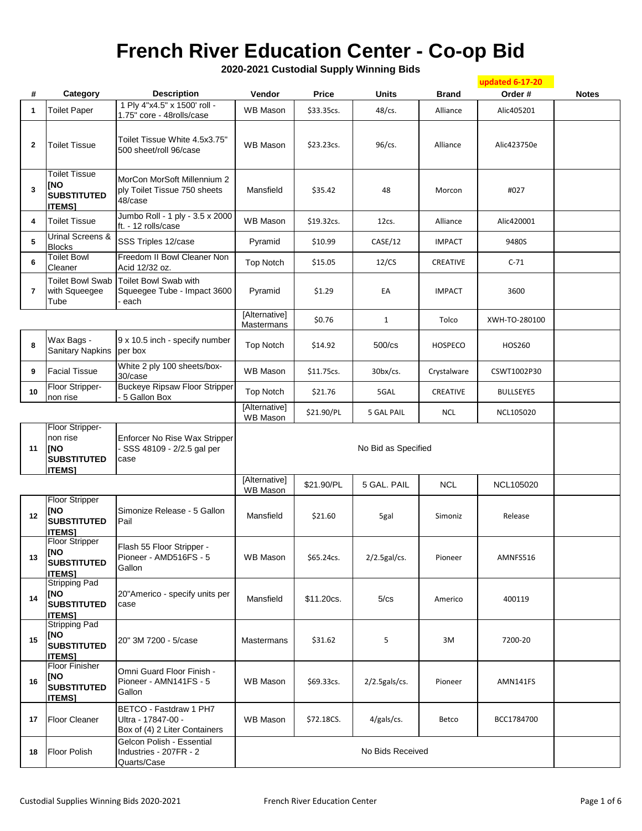## **French River Education Center - Co-op Bid**

**2020-2021 Custodial Supply Winning Bids**

|                         |                                                                            |                                                                               |                             |            |                  |                | updated 6-17-20  |              |
|-------------------------|----------------------------------------------------------------------------|-------------------------------------------------------------------------------|-----------------------------|------------|------------------|----------------|------------------|--------------|
| #                       | Category                                                                   | <b>Description</b>                                                            | Vendor                      | Price      | Units            | <b>Brand</b>   | Order#           | <b>Notes</b> |
| 1                       | <b>Toilet Paper</b>                                                        | 1 Ply 4"x4.5" x 1500' roll -<br>1.75" core - 48rolls/case                     | <b>WB Mason</b>             | \$33.35cs. | $48$ /cs.        | Alliance       | Alic405201       |              |
| 2                       | <b>Toilet Tissue</b>                                                       | Toilet Tissue White 4.5x3.75"<br>500 sheet/roll 96/case                       | <b>WB Mason</b>             | \$23.23cs. | 96/cs.           | Alliance       | Alic423750e      |              |
| 3                       | <b>Toilet Tissue</b><br><b>INO</b><br><b>SUBSTITUTED</b><br><b>ITEMS]</b>  | MorCon MorSoft Millennium 2<br>ply Toilet Tissue 750 sheets<br>48/case        | Mansfield                   | \$35.42    | 48               | Morcon         | #027             |              |
| 4                       | <b>Toilet Tissue</b>                                                       | Jumbo Roll - 1 ply - 3.5 x 2000<br>ft. - 12 rolls/case                        | WB Mason                    | \$19.32cs. | 12cs.            | Alliance       | Alic420001       |              |
| 5                       | Urinal Screens &<br><b>Blocks</b>                                          | SSS Triples 12/case                                                           | Pyramid                     | \$10.99    | CASE/12          | <b>IMPACT</b>  | 9480S            |              |
| 6                       | <b>Toilet Bowl</b><br>Cleaner                                              | Freedom II Bowl Cleaner Non<br>Acid 12/32 oz.                                 | <b>Top Notch</b>            | \$15.05    | 12/CS            | CREATIVE       | $C-71$           |              |
| $\overline{\mathbf{r}}$ | <b>Toilet Bowl Swab</b><br>with Squeegee<br>Tube                           | Toilet Bowl Swab with<br>Squeegee Tube - Impact 3600<br>each                  | Pyramid                     | \$1.29     | EA               | <b>IMPACT</b>  | 3600             |              |
|                         |                                                                            |                                                                               | [Alternative]<br>Mastermans | \$0.76     | $\mathbf{1}$     | Tolco          | XWH-TO-280100    |              |
| 8                       | Wax Bags -<br><b>Sanitary Napkins</b>                                      | 9 x 10.5 inch - specify number<br>per box                                     | <b>Top Notch</b>            | \$14.92    | $500$ / $cs$     | <b>HOSPECO</b> | HOS260           |              |
| 9                       | <b>Facial Tissue</b>                                                       | White 2 ply 100 sheets/box-<br>30/case                                        | <b>WB Mason</b>             | \$11.75cs. | $30b$ x/cs.      | Crystalware    | CSWT1002P30      |              |
| 10                      | Floor Stripper-<br>non rise                                                | <b>Buckeye Ripsaw Floor Stripper</b><br>5 Gallon Box                          | <b>Top Notch</b>            | \$21.76    | 5GAL             | CREATIVE       | <b>BULLSEYE5</b> |              |
|                         |                                                                            |                                                                               | [Alternative]<br>WB Mason   | \$21.90/PL | 5 GAL PAIL       | <b>NCL</b>     | NCL105020        |              |
| 11                      | Floor Stripper-<br>non rise<br>[NO<br><b>SUBSTITUTED</b><br><b>ITEMS1</b>  | Enforcer No Rise Wax Stripper<br>- SSS 48109 - 2/2.5 gal per<br>case          | No Bid as Specified         |            |                  |                |                  |              |
|                         |                                                                            |                                                                               | [Alternative]<br>WB Mason   | \$21.90/PL | 5 GAL. PAIL      | <b>NCL</b>     | NCL105020        |              |
| 12                      | <b>Floor Stripper</b><br><b>INO</b><br><b>SUBSTITUTED</b><br><b>ITEMS1</b> | Simonize Release - 5 Gallon<br>Pail                                           | Mansfield                   | \$21.60    | 5gal             | Simoniz        | Release          |              |
| 13                      | <b>Floor Stripper</b><br>[NO<br><b>SUBSTITUTED</b><br><b>ITEMS1</b>        | Flash 55 Floor Stripper -<br>Pioneer - AMD516FS - 5<br>Gallon                 | <b>WB Mason</b>             | \$65.24cs. | $2/2.5$ gal/cs.  | Pioneer        | AMNFS516         |              |
| 14                      | <b>Stripping Pad</b><br>[NO<br><b>SUBSTITUTED</b><br><b>ITEMS]</b>         | 20"Americo - specify units per<br>case                                        | Mansfield                   | \$11.20cs. | 5/cs             | Americo        | 400119           |              |
| 15                      | <b>Stripping Pad</b><br>[NO<br><b>SUBSTITUTED</b><br><b>ITEMS1</b>         | 20" 3M 7200 - 5/case                                                          | Mastermans                  | \$31.62    | 5                | 3M             | 7200-20          |              |
| 16                      | <b>Floor Finisher</b><br>[NO<br><b>SUBSTITUTED</b><br><b>ITEMS]</b>        | Omni Guard Floor Finish -<br>Pioneer - AMN141FS - 5<br>Gallon                 | <b>WB Mason</b>             | \$69.33cs. | $2/2.5$ gals/cs. | Pioneer        | AMN141FS         |              |
| 17                      | Floor Cleaner                                                              | BETCO - Fastdraw 1 PH7<br>Ultra - 17847-00 -<br>Box of (4) 2 Liter Containers | <b>WB Mason</b>             | \$72.18CS. | $4/gals/cs$ .    | Betco          | BCC1784700       |              |
| 18                      | <b>Floor Polish</b>                                                        | Gelcon Polish - Essential<br>Industries - 207FR - 2<br>Quarts/Case            |                             |            | No Bids Received |                |                  |              |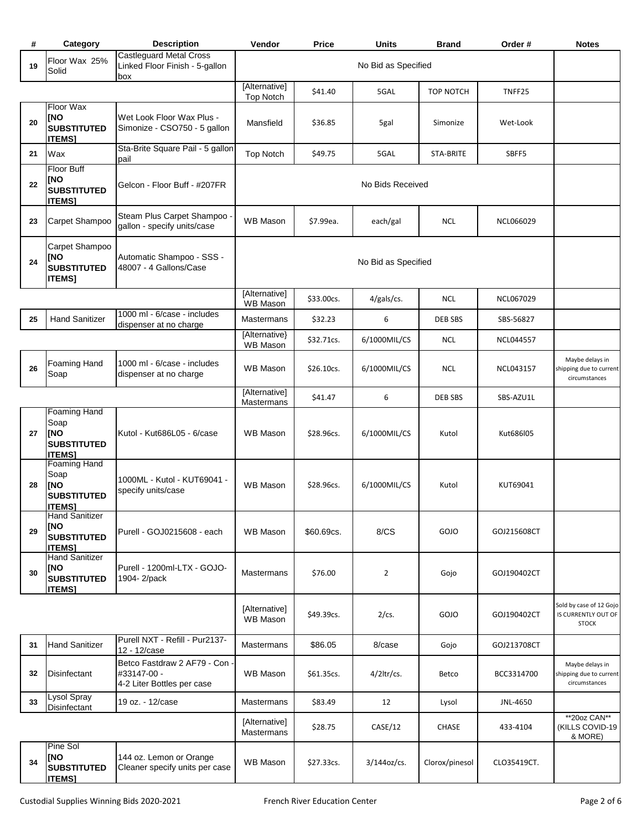| #  | Category                                                                         | <b>Description</b>                                                         | Vendor                            | Price               | <b>Units</b>        | <b>Brand</b>     | Order#           | <b>Notes</b>                                                   |
|----|----------------------------------------------------------------------------------|----------------------------------------------------------------------------|-----------------------------------|---------------------|---------------------|------------------|------------------|----------------------------------------------------------------|
| 19 | Floor Wax 25%<br>Solid                                                           | <b>Castleguard Metal Cross</b><br>Linked Floor Finish - 5-gallon<br>box    |                                   | No Bid as Specified |                     |                  |                  |                                                                |
|    |                                                                                  |                                                                            | [Alternative]<br><b>Top Notch</b> | \$41.40             | 5GAL                | <b>TOP NOTCH</b> | TNFF25           |                                                                |
| 20 | Floor Wax<br>[NO<br><b>SUBSTITUTED</b><br><b>ITEMS]</b>                          | Wet Look Floor Wax Plus -<br>Simonize - CSO750 - 5 gallon                  | Mansfield                         | \$36.85             | 5gal                | Simonize         | Wet-Look         |                                                                |
| 21 | Wax                                                                              | Sta-Brite Square Pail - 5 gallon<br>pail                                   | <b>Top Notch</b>                  | \$49.75             | 5GAL                | <b>STA-BRITE</b> | SBFF5            |                                                                |
| 22 | <b>Floor Buff</b><br><b>INO</b><br><b>SUBSTITUTED</b><br><b>ITEMS]</b>           | Gelcon - Floor Buff - #207FR                                               |                                   |                     | No Bids Received    |                  |                  |                                                                |
| 23 | Carpet Shampoo                                                                   | Steam Plus Carpet Shampoo -<br>gallon - specify units/case                 | WB Mason                          | \$7.99ea.           | each/gal            | <b>NCL</b>       | NCL066029        |                                                                |
| 24 | Carpet Shampoo<br><b>INO</b><br><b>SUBSTITUTED</b><br><b>ITEMS]</b>              | Automatic Shampoo - SSS -<br>48007 - 4 Gallons/Case                        |                                   |                     | No Bid as Specified |                  |                  |                                                                |
|    |                                                                                  |                                                                            | [Alternative]<br><b>WB Mason</b>  | \$33.00cs.          | 4/gals/cs.          | <b>NCL</b>       | NCL067029        |                                                                |
| 25 | <b>Hand Sanitizer</b>                                                            | 1000 ml - 6/case - includes<br>dispenser at no charge                      | <b>Mastermans</b>                 | \$32.23             | 6                   | <b>DEB SBS</b>   | SBS-56827        |                                                                |
|    |                                                                                  |                                                                            | [Alternative}<br>WB Mason         | \$32.71cs.          | 6/1000MIL/CS        | <b>NCL</b>       | <b>NCL044557</b> |                                                                |
| 26 | Foaming Hand<br>Soap                                                             | 1000 ml - 6/case - includes<br>dispenser at no charge                      | <b>WB Mason</b>                   | \$26.10cs.          | 6/1000MIL/CS        | <b>NCL</b>       | NCL043157        | Maybe delays in<br>shipping due to current<br>circumstances    |
|    |                                                                                  |                                                                            | [Alternative]<br>Mastermans       | \$41.47             | 6                   | DEB SBS          | SBS-AZU1L        |                                                                |
| 27 | <b>Foaming Hand</b><br>Soap<br>[NO<br><b>SUBSTITUTED</b><br><b>ITEMS1</b>        | Kutol - Kut686L05 - 6/case                                                 | <b>WB Mason</b>                   | \$28.96cs.          | 6/1000MIL/CS        | Kutol            | Kut686l05        |                                                                |
| 28 | <b>Foaming Hand</b><br>Soap<br><b>INO</b><br><b>SUBSTITUTED</b><br><b>ITEMS]</b> | 1000ML - Kutol - KUT69041 -<br>specify units/case                          | <b>WB Mason</b>                   | \$28.96cs.          | 6/1000MIL/CS        | Kutol            | KUT69041         |                                                                |
| 29 | <b>Hand Sanitizer</b><br>[NO<br><b>SUBSTITUTED</b><br><b>ITEMS]</b>              | Purell - GOJ0215608 - each                                                 | <b>WB Mason</b>                   | \$60.69cs.          | 8/CS                | GOJO             | GOJ215608CT      |                                                                |
| 30 | <b>Hand Sanitizer</b><br>[NO<br><b>SUBSTITUTED</b><br><b>ITEMS]</b>              | Purell - 1200ml-LTX - GOJO-<br>1904-2/pack                                 | Mastermans                        | \$76.00             | $\overline{2}$      | Gojo             | GOJ190402CT      |                                                                |
|    |                                                                                  |                                                                            | [Alternative]<br><b>WB Mason</b>  | \$49.39cs.          | $2/cs$ .            | GOJO             | GOJ190402CT      | Sold by case of 12 Gojo<br>IS CURRENTLY OUT OF<br><b>STOCK</b> |
| 31 | <b>Hand Sanitizer</b>                                                            | Purell NXT - Refill - Pur2137-<br>12 - 12/case                             | Mastermans                        | \$86.05             | 8/case              | Gojo             | GOJ213708CT      |                                                                |
| 32 | Disinfectant                                                                     | Betco Fastdraw 2 AF79 - Con -<br>#33147-00 -<br>4-2 Liter Bottles per case | <b>WB Mason</b>                   | \$61.35cs.          | $4/2$ ltr/cs.       | Betco            | BCC3314700       | Maybe delays in<br>shipping due to current<br>circumstances    |
| 33 | Lysol Spray<br>Disinfectant                                                      | 19 oz. - 12/case                                                           | Mastermans                        | \$83.49             | 12                  | Lysol            | JNL-4650         |                                                                |
|    |                                                                                  |                                                                            | [Alternative]<br>Mastermans       | \$28.75             | CASE/12             | CHASE            | 433-4104         | **20oz CAN**<br>(KILLS COVID-19<br>& MORE)                     |
| 34 | Pine Sol<br>[NO<br><b>SUBSTITUTED</b><br><b>ITEMS]</b>                           | 144 oz. Lemon or Orange<br>Cleaner specify units per case                  | <b>WB Mason</b>                   | \$27.33cs.          | $3/144$ oz/cs.      | Clorox/pinesol   | CLO35419CT.      |                                                                |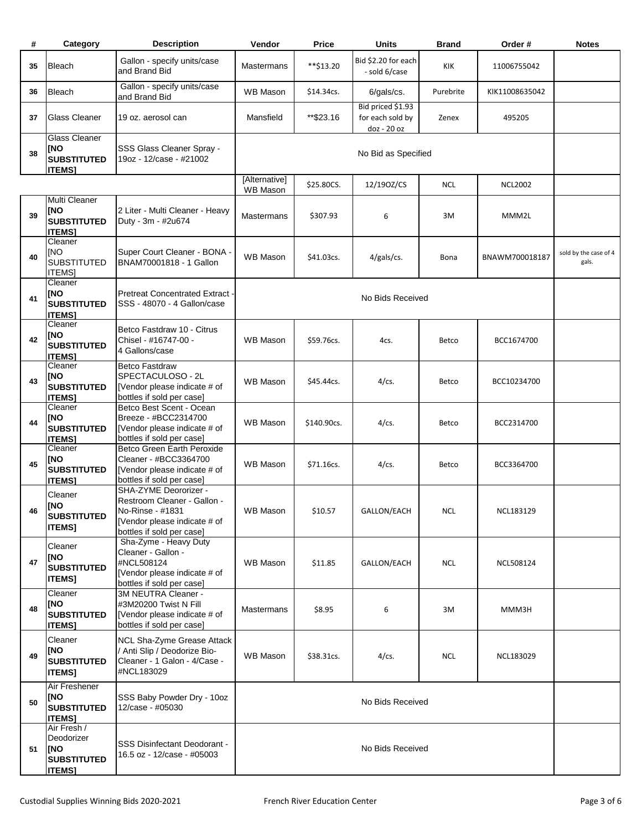| #  | Category                                                                 | <b>Description</b>                                                                                                                    | Vendor                           | <b>Price</b> | <b>Units</b>                                         | <b>Brand</b> | Order#         | <b>Notes</b>                   |
|----|--------------------------------------------------------------------------|---------------------------------------------------------------------------------------------------------------------------------------|----------------------------------|--------------|------------------------------------------------------|--------------|----------------|--------------------------------|
| 35 | Bleach                                                                   | Gallon - specify units/case<br>and Brand Bid                                                                                          | Mastermans                       | **\$13.20    | Bid \$2.20 for each<br>- sold 6/case                 | KIK          | 11006755042    |                                |
| 36 | Bleach                                                                   | Gallon - specify units/case<br>and Brand Bid                                                                                          | WB Mason                         | \$14.34cs.   | $6/gals/cs$ .                                        | Purebrite    | KIK11008635042 |                                |
| 37 | Glass Cleaner                                                            | 19 oz. aerosol can                                                                                                                    | Mansfield                        | ** \$23.16   | Bid priced \$1.93<br>for each sold by<br>doz - 20 oz | Zenex        | 495205         |                                |
| 38 | <b>Glass Cleaner</b><br>[NO<br><b>SUBSTITUTED</b><br><b>ITEMS1</b>       | SSS Glass Cleaner Spray -<br>19oz - 12/case - #21002                                                                                  |                                  |              | No Bid as Specified                                  |              |                |                                |
|    |                                                                          |                                                                                                                                       | [Alternative]<br><b>WB Mason</b> | \$25.80CS.   | 12/190Z/CS                                           | <b>NCL</b>   | <b>NCL2002</b> |                                |
| 39 | Multi Cleaner<br>[NO<br><b>SUBSTITUTED</b><br><b>ITEMS1</b>              | 2 Liter - Multi Cleaner - Heavy<br>Duty - 3m - #2u674                                                                                 | <b>Mastermans</b>                | \$307.93     | 6                                                    | 3M           | MMM2L          |                                |
| 40 | Cleaner<br>[NO<br><b>SUBSTITUTED</b><br><b>ITEMS</b>                     | Super Court Cleaner - BONA -<br>BNAM70001818 - 1 Gallon                                                                               | <b>WB Mason</b>                  | \$41.03cs.   | $4/gals/cs$ .                                        | Bona         | BNAWM700018187 | sold by the case of 4<br>gals. |
| 41 | Cleaner<br>[NO<br><b>SUBSTITUTED</b><br><b>ITEMS1</b>                    | <b>Pretreat Concentrated Extract -</b><br>SSS - 48070 - 4 Gallon/case                                                                 |                                  |              | No Bids Received                                     |              |                |                                |
| 42 | Cleaner<br><b>INO</b><br><b>SUBSTITUTED</b><br><b>ITEMS1</b>             | Betco Fastdraw 10 - Citrus<br>Chisel - #16747-00 -<br>4 Gallons/case                                                                  | <b>WB Mason</b>                  | \$59.76cs.   | 4cs.                                                 | Betco        | BCC1674700     |                                |
| 43 | Cleaner<br>[NO<br><b>SUBSTITUTED</b><br><b>ITEMS1</b>                    | <b>Betco Fastdraw</b><br>SPECTACULOSO - 2L<br>[Vendor please indicate # of<br>bottles if sold per case]                               | <b>WB Mason</b>                  | \$45.44cs.   | $4$ /cs.                                             | <b>Betco</b> | BCC10234700    |                                |
| 44 | Cleaner<br><b>INO</b><br><b>SUBSTITUTED</b><br>ITEMS1                    | Betco Best Scent - Ocean<br>Breeze - #BCC2314700<br>[Vendor please indicate # of<br>bottles if sold per case]                         | <b>WB Mason</b>                  | \$140.90cs.  | $4$ /cs.                                             | Betco        | BCC2314700     |                                |
| 45 | Cleaner<br><b>INO</b><br><b>SUBSTITUTED</b><br><b>ITEMS1</b>             | Betco Green Earth Peroxide<br>Cleaner - #BCC3364700<br>[Vendor please indicate # of<br>bottles if sold per case]                      | <b>WB Mason</b>                  | \$71.16cs.   | $4$ /cs.                                             | Betco        | BCC3364700     |                                |
| 46 | Cleaner<br>[NO<br><b>SUBSTITUTED</b><br><b>ITEMS1</b>                    | SHA-ZYME Deororizer -<br>Restroom Cleaner - Gallon -<br>No-Rinse - #1831<br>[Vendor please indicate # of<br>bottles if sold per case] | <b>WB Mason</b>                  | \$10.57      | GALLON/EACH                                          | <b>NCL</b>   | NCL183129      |                                |
| 47 | Cleaner<br>[NO<br><b>SUBSTITUTED</b><br><b>ITEMS]</b>                    | Sha-Zyme - Heavy Duty<br>Cleaner - Gallon -<br>#NCL508124<br>[Vendor please indicate # of<br>bottles if sold per case]                | <b>WB Mason</b>                  | \$11.85      | GALLON/EACH                                          | <b>NCL</b>   | NCL508124      |                                |
| 48 | Cleaner<br><b>INO</b><br><b>SUBSTITUTED</b><br><b>ITEMS]</b>             | 3M NEUTRA Cleaner -<br>#3M20200 Twist N Fill<br>[Vendor please indicate # of<br>bottles if sold per case]                             | Mastermans                       | \$8.95       | 6                                                    | 3M           | MMM3H          |                                |
| 49 | Cleaner<br>[NO<br><b>SUBSTITUTED</b><br><b>ITEMS]</b>                    | NCL Sha-Zyme Grease Attack<br>/ Anti Slip / Deodorize Bio-<br>Cleaner - 1 Galon - 4/Case -<br>#NCL183029                              | WB Mason                         | \$38.31cs.   | $4$ /cs.                                             | <b>NCL</b>   | NCL183029      |                                |
| 50 | Air Freshener<br>[NO<br><b>SUBSTITUTED</b><br><b>ITEMS1</b>              | SSS Baby Powder Dry - 10oz<br>12/case - #05030                                                                                        |                                  |              | No Bids Received                                     |              |                |                                |
| 51 | Air Fresh /<br>Deodorizer<br> [NO<br><b>SUBSTITUTED</b><br><b>ITEMS]</b> | <b>SSS Disinfectant Deodorant -</b><br>16.5 oz - 12/case - #05003                                                                     |                                  |              | No Bids Received                                     |              |                |                                |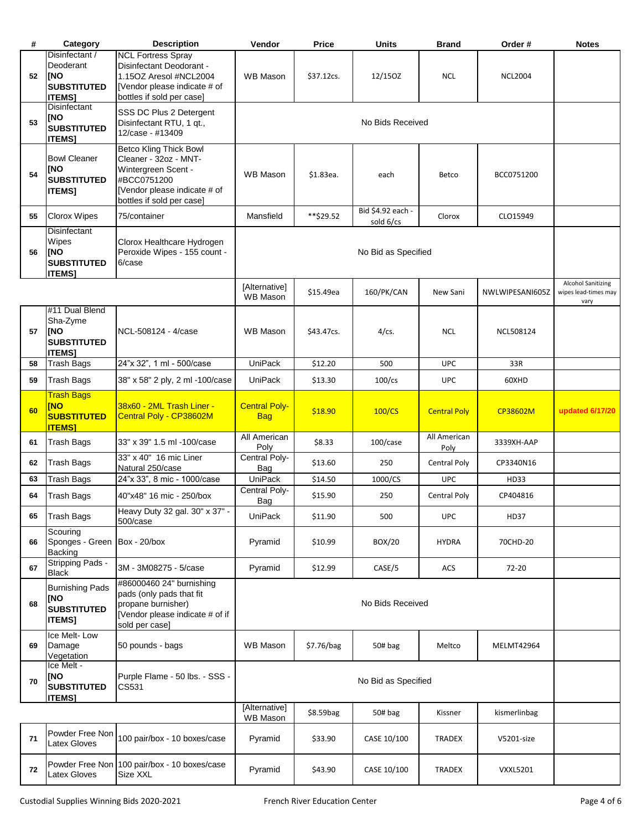| #  | Category                                                                         | <b>Description</b>                                                                                                                                        | Vendor                             | <b>Price</b>     | <b>Units</b>                     | <b>Brand</b>         | Order #           | <b>Notes</b>                                              |  |
|----|----------------------------------------------------------------------------------|-----------------------------------------------------------------------------------------------------------------------------------------------------------|------------------------------------|------------------|----------------------------------|----------------------|-------------------|-----------------------------------------------------------|--|
| 52 | Disinfectant /<br>Deoderant<br><b>INO</b><br><b>SUBSTITUTED</b><br><b>ITEMS1</b> | <b>NCL Fortress Spray</b><br>Disinfectant Deodorant -<br>1.15OZ Aresol #NCL2004<br>[Vendor please indicate # of<br>bottles if sold per case]              | <b>WB Mason</b>                    | \$37.12cs.       | 12/150Z                          | <b>NCL</b>           | <b>NCL2004</b>    |                                                           |  |
| 53 | Disinfectant<br>[NO<br><b>SUBSTITUTED</b><br><b>ITEMS]</b>                       | SSS DC Plus 2 Detergent<br>Disinfectant RTU, 1 gt.,<br>12/case - #13409                                                                                   |                                    | No Bids Received |                                  |                      |                   |                                                           |  |
| 54 | <b>Bowl Cleaner</b><br><b>INO</b><br><b>SUBSTITUTED</b><br><b>ITEMS]</b>         | <b>Betco Kling Thick Bowl</b><br>Cleaner - 32oz - MNT-<br>Wintergreen Scent -<br>#BCC0751200<br>[Vendor please indicate # of<br>bottles if sold per case] | <b>WB Mason</b>                    | \$1.83ea.        | each                             | Betco                | BCC0751200        |                                                           |  |
| 55 | <b>Clorox Wipes</b>                                                              | 75/container                                                                                                                                              | Mansfield                          | **\$29.52        | Bid \$4.92 each -                | Clorox               | CLO15949          |                                                           |  |
| 56 | Disinfectant<br>Wipes<br><b>INO</b><br><b>SUBSTITUTED</b><br><b>ITEMS]</b>       | Clorox Healthcare Hydrogen<br>Peroxide Wipes - 155 count -<br>6/case                                                                                      |                                    |                  | sold 6/cs<br>No Bid as Specified |                      |                   |                                                           |  |
|    |                                                                                  |                                                                                                                                                           | [Alternative]<br><b>WB Mason</b>   | \$15.49ea        | 160/PK/CAN                       | New Sani             | NWLWIPESANI605Z   | <b>Alcohol Sanitizing</b><br>wipes lead-times may<br>vary |  |
| 57 | #11 Dual Blend<br>Sha-Zyme<br>[NO<br><b>SUBSTITUTED</b><br><b>ITEMS]</b>         | NCL-508124 - 4/case                                                                                                                                       | <b>WB Mason</b>                    | \$43.47cs.       | $4/cs$ .                         | <b>NCL</b>           | NCL508124         |                                                           |  |
| 58 | <b>Trash Bags</b>                                                                | 24"x 32", 1 ml - 500/case                                                                                                                                 | <b>UniPack</b>                     | \$12.20          | 500                              | <b>UPC</b>           | 33R               |                                                           |  |
| 59 | <b>Trash Bags</b>                                                                | 38" x 58" 2 ply, 2 ml -100/case                                                                                                                           | <b>UniPack</b>                     | \$13.30          | $100$ /cs                        | <b>UPC</b>           | 60XHD             |                                                           |  |
| 60 | <b>Trash Bags</b><br><b>INO</b><br><b>SUBSTITUTED</b><br><b>ITEMS1</b>           | 38x60 - 2ML Trash Liner -<br>Central Poly - CP38602M                                                                                                      | <b>Central Poly-</b><br><b>Bag</b> | \$18.90          | 100/CS                           | <b>Central Poly</b>  | CP38602M          | updated 6/17/20                                           |  |
| 61 | <b>Trash Bags</b>                                                                | 33" x 39" 1.5 ml -100/case                                                                                                                                | All American<br>Poly               | \$8.33           | $100/c$ ase                      | All American<br>Poly | 3339XH-AAP        |                                                           |  |
| 62 | <b>Trash Bags</b>                                                                | 33" x 40" 16 mic Liner<br>Natural 250/case                                                                                                                | Central Poly-<br>Bag               | \$13.60          | 250                              | <b>Central Poly</b>  | CP3340N16         |                                                           |  |
| 63 | <b>Trash Bags</b>                                                                | 24"x 33", 8 mic - 1000/case                                                                                                                               | <b>UniPack</b>                     | \$14.50          | 1000/CS                          | <b>UPC</b>           | HD33              |                                                           |  |
| 64 | Trash Bags                                                                       | 40"x48" 16 mic - 250/box                                                                                                                                  | Central Poly-<br>Bag               | \$15.90          | 250                              | Central Poly         | CP404816          |                                                           |  |
| 65 | <b>Trash Bags</b>                                                                | Heavy Duty 32 gal. 30" x 37" -<br>500/case                                                                                                                | <b>UniPack</b>                     | \$11.90          | 500                              | <b>UPC</b>           | <b>HD37</b>       |                                                           |  |
| 66 | Scourina<br>Sponges - Green Box - 20/box<br><b>Backing</b>                       |                                                                                                                                                           | Pyramid                            | \$10.99          | BOX/20                           | <b>HYDRA</b>         | 70CHD-20          |                                                           |  |
| 67 | Stripping Pads -<br><b>Black</b>                                                 | 3M - 3M08275 - 5/case                                                                                                                                     | Pyramid                            | \$12.99          | CASE/5                           | ACS                  | $72 - 20$         |                                                           |  |
| 68 | <b>Burnishing Pads</b><br>[NO<br><b>SUBSTITUTED</b><br><b>ITEMS]</b>             | #86000460 24" burnishing<br>pads (only pads that fit<br>propane burnisher)<br>[Vendor please indicate # of if<br>sold per case]                           |                                    |                  | No Bids Received                 |                      |                   |                                                           |  |
| 69 | Ice Melt-Low<br>Damage<br>Vegetation                                             | 50 pounds - bags                                                                                                                                          | <b>WB Mason</b>                    | \$7.76/bag       | 50# bag                          | Meltco               | <b>MELMT42964</b> |                                                           |  |
| 70 | Ice Melt -<br>[NO<br><b>SUBSTITUTED</b><br><b>ITEMS]</b>                         | Purple Flame - 50 lbs. - SSS -<br>CS531                                                                                                                   |                                    |                  | No Bid as Specified              |                      |                   |                                                           |  |
|    |                                                                                  |                                                                                                                                                           | [Alternative]<br>WB Mason          | \$8.59bag        | 50# bag                          | Kissner              | kismerlinbag      |                                                           |  |
| 71 | Powder Free Non<br>Latex Gloves                                                  | 100 pair/box - 10 boxes/case                                                                                                                              | Pyramid                            | \$33.90          | CASE 10/100                      | TRADEX               | V5201-size        |                                                           |  |
| 72 | Latex Gloves                                                                     | Powder Free Non 100 pair/box - 10 boxes/case<br>Size XXL                                                                                                  | Pyramid                            | \$43.90          | CASE 10/100                      | TRADEX               | <b>VXXL5201</b>   |                                                           |  |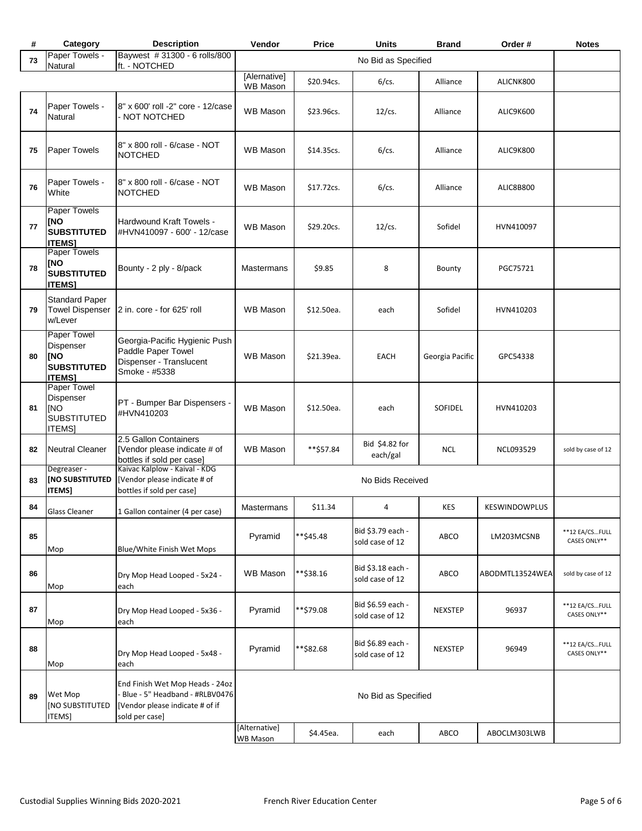| #  | Category                                                                      | <b>Description</b>                                                                                                      | Vendor                           | Price               | <b>Units</b>                         | <b>Brand</b>    | Order #              | <b>Notes</b>                   |
|----|-------------------------------------------------------------------------------|-------------------------------------------------------------------------------------------------------------------------|----------------------------------|---------------------|--------------------------------------|-----------------|----------------------|--------------------------------|
| 73 | Paper Towels -<br>Natural                                                     | Baywest #31300 - 6 rolls/800<br>ft. - NOTCHED                                                                           |                                  | No Bid as Specified |                                      |                 |                      |                                |
|    |                                                                               |                                                                                                                         | [Alernative]<br>WB Mason         | \$20.94cs.          | $6$ /cs.                             | Alliance        | ALICNK800            |                                |
| 74 | Paper Towels -<br>Natural                                                     | 8" x 600' roll -2" core - 12/case<br><b>NOT NOTCHED</b>                                                                 | <b>WB Mason</b>                  | \$23.96cs.          | $12$ /cs.                            | Alliance        | ALIC9K600            |                                |
| 75 | Paper Towels                                                                  | 8" x 800 roll - 6/case - NOT<br><b>NOTCHED</b>                                                                          | <b>WB Mason</b>                  | \$14.35cs.          | $6$ /cs.                             | Alliance        | ALIC9K800            |                                |
| 76 | Paper Towels -<br>White                                                       | 8" x 800 roll - 6/case - NOT<br><b>NOTCHED</b>                                                                          | <b>WB Mason</b>                  | \$17.72cs.          | $6$ /cs.                             | Alliance        | ALIC8B800            |                                |
| 77 | <b>Paper Towels</b><br><b>INO</b><br><b>SUBSTITUTED</b><br><b>ITEMS1</b>      | <b>Hardwound Kraft Towels -</b><br>#HVN410097 - 600' - 12/case                                                          | <b>WB Mason</b>                  | \$29.20cs.          | $12$ /cs.                            | Sofidel         | HVN410097            |                                |
| 78 | Paper Towels<br>[NO<br><b>SUBSTITUTED</b><br><b>ITEMS]</b>                    | Bounty - 2 ply - 8/pack                                                                                                 | Mastermans                       | \$9.85              | 8                                    | Bounty          | PGC75721             |                                |
| 79 | <b>Standard Paper</b><br><b>Towel Dispenser</b><br>w/Lever                    | 2 in. core - for 625' roll                                                                                              | <b>WB Mason</b>                  | \$12.50ea.          | each                                 | Sofidel         | HVN410203            |                                |
| 80 | Paper Towel<br>Dispenser<br><b>INO</b><br><b>SUBSTITUTED</b><br><b>ITEMS1</b> | Georgia-Pacific Hygienic Push<br>Paddle Paper Towel<br>Dispenser - Translucent<br>Smoke - #5338                         | <b>WB Mason</b>                  | \$21.39ea.          | <b>EACH</b>                          | Georgia Pacific | GPC54338             |                                |
| 81 | Paper Towel<br>Dispenser<br><b>INO</b><br><b>SUBSTITUTED</b><br><b>ITEMS]</b> | PT - Bumper Bar Dispensers -<br>#HVN410203                                                                              | <b>WB Mason</b>                  | \$12.50ea.          | each                                 | SOFIDEL         | HVN410203            |                                |
| 82 | <b>Neutral Cleaner</b>                                                        | 2.5 Gallon Containers<br>[Vendor please indicate # of                                                                   | <b>WB Mason</b>                  | **\$57.84           | Bid \$4.82 for<br>each/gal           | <b>NCL</b>      | NCL093529            | sold by case of 12             |
| 83 | Degreaser -<br>[NO SUBSTITUTED<br><b>ITEMS]</b>                               | bottles if sold per case]<br>Kaivac Kalplow - Kaival - KDG<br>[Vendor please indicate # of<br>bottles if sold per case] |                                  |                     | No Bids Received                     |                 |                      |                                |
| 84 | Glass Cleaner                                                                 | 1 Gallon container (4 per case)                                                                                         | <b>Mastermans</b>                | \$11.34             | 4                                    | KES             | <b>KESWINDOWPLUS</b> |                                |
| 85 | Mop                                                                           | Blue/White Finish Wet Mops                                                                                              | Pyramid                          | **\$45.48           | Bid \$3.79 each -<br>sold case of 12 | ABCO            | LM203MCSNB           | **12 EA/CSFULL<br>CASES ONLY** |
| 86 | Mop                                                                           | Dry Mop Head Looped - 5x24 -<br>each                                                                                    | <b>WB Mason</b>                  | **\$38.16           | Bid \$3.18 each -<br>sold case of 12 | ABCO            | ABODMTL13524WEA      | sold by case of 12             |
| 87 | Mop                                                                           | Dry Mop Head Looped - 5x36 -<br>each                                                                                    | Pyramid                          | **\$79.08           | Bid \$6.59 each -<br>sold case of 12 | <b>NEXSTEP</b>  | 96937                | **12 EA/CSFULL<br>CASES ONLY** |
| 88 | Mop                                                                           | Dry Mop Head Looped - 5x48 -<br>each                                                                                    | Pyramid                          | **\$82.68           | Bid \$6.89 each -<br>sold case of 12 | <b>NEXSTEP</b>  | 96949                | **12 EA/CSFULL<br>CASES ONLY** |
| 89 | Wet Mop<br>[NO SUBSTITUTED<br>ITEMS]                                          | End Finish Wet Mop Heads - 24oz<br>Blue - 5" Headband - #RLBV0476<br>[Vendor please indicate # of if<br>sold per case]  |                                  |                     | No Bid as Specified                  |                 |                      |                                |
|    |                                                                               |                                                                                                                         | [Alternative]<br><b>WB Mason</b> | \$4.45ea.           | each                                 | ABCO            | ABOCLM303LWB         |                                |